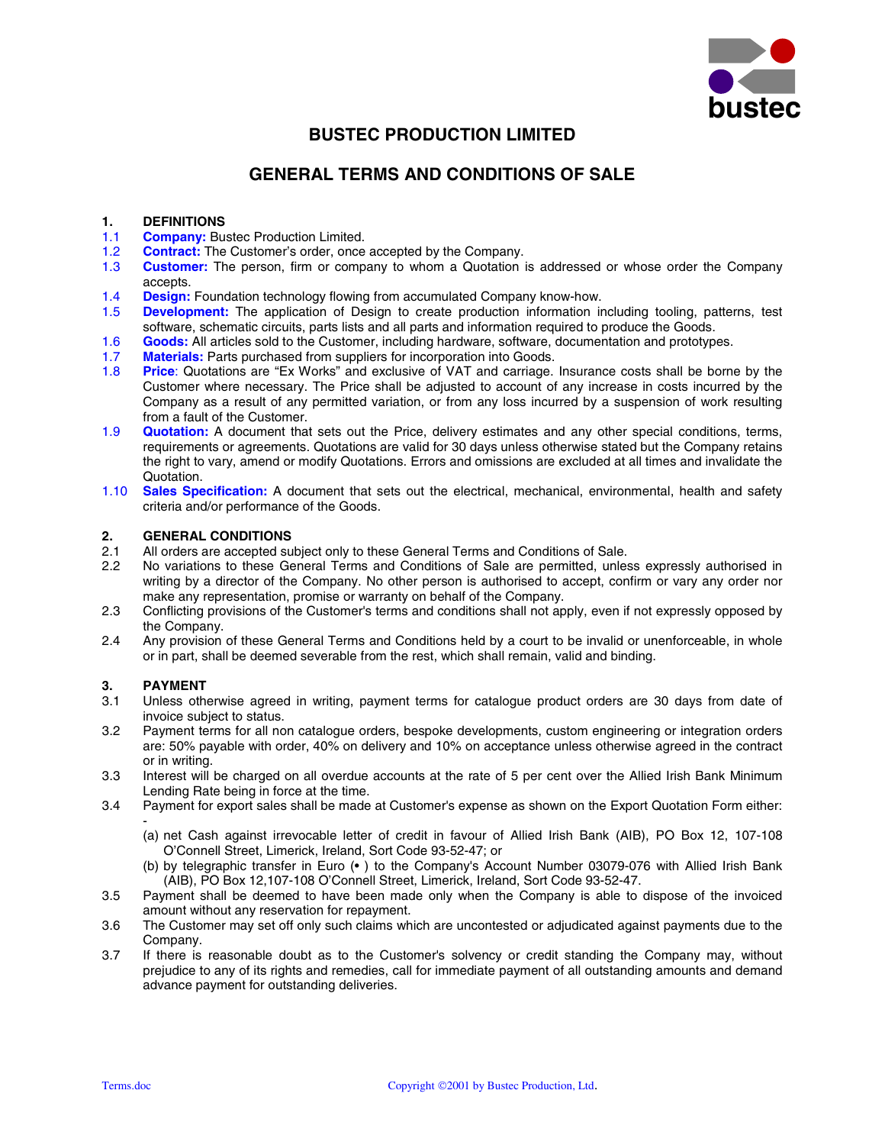

# **BUSTEC PRODUCTION LIMITED**

# **GENERAL TERMS AND CONDITIONS OF SALE**

# **1. DEFINITIONS**

- 1.1 **Company:** Bustec Production Limited.
- 1.2 **Contract:** The Customer's order, once accepted by the Company.
- 1.3 **Customer:** The person, firm or company to whom a Quotation is addressed or whose order the Company accepts.
- 1.4 **Design:** Foundation technology flowing from accumulated Company know-how.
- 1.5 **Development:** The application of Design to create production information including tooling, patterns, test software, schematic circuits, parts lists and all parts and information required to produce the Goods.
- 1.6 **Goods:** All articles sold to the Customer, including hardware, software, documentation and prototypes.<br>1.7 **Materials:** Parts purchased from suppliers for incorporation into Goods
- **Materials:** Parts purchased from suppliers for incorporation into Goods.
- 1.8 **Price**: Quotations are "Ex Works" and exclusive of VAT and carriage. Insurance costs shall be borne by the Customer where necessary. The Price shall be adjusted to account of any increase in costs incurred by the Company as a result of any permitted variation, or from any loss incurred by a suspension of work resulting from a fault of the Customer.
- 1.9 **Quotation:** A document that sets out the Price, delivery estimates and any other special conditions, terms, requirements or agreements. Quotations are valid for 30 days unless otherwise stated but the Company retains the right to vary, amend or modify Quotations. Errors and omissions are excluded at all times and invalidate the Quotation.
- 1.10 **Sales Specification:** A document that sets out the electrical, mechanical, environmental, health and safety criteria and/or performance of the Goods.

# **2. GENERAL CONDITIONS**

- 2.1 All orders are accepted subject only to these General Terms and Conditions of Sale.
- 2.2 No variations to these General Terms and Conditions of Sale are permitted, unless expressly authorised in writing by a director of the Company. No other person is authorised to accept, confirm or vary any order nor make any representation, promise or warranty on behalf of the Company.
- 2.3 Conflicting provisions of the Customer's terms and conditions shall not apply, even if not expressly opposed by the Company.
- 2.4 Any provision of these General Terms and Conditions held by a court to be invalid or unenforceable, in whole or in part, shall be deemed severable from the rest, which shall remain, valid and binding.

# **3. PAYMENT**

- 3.1 Unless otherwise agreed in writing, payment terms for catalogue product orders are 30 days from date of invoice subject to status.
- 3.2 Payment terms for all non catalogue orders, bespoke developments, custom engineering or integration orders are: 50% payable with order, 40% on delivery and 10% on acceptance unless otherwise agreed in the contract or in writing.
- 3.3 Interest will be charged on all overdue accounts at the rate of 5 per cent over the Allied Irish Bank Minimum Lending Rate being in force at the time.
- 3.4 Payment for export sales shall be made at Customer's expense as shown on the Export Quotation Form either: -
	- (a) net Cash against irrevocable letter of credit in favour of Allied Irish Bank (AIB), PO Box 12, 107-108 O'Connell Street, Limerick, Ireland, Sort Code 93-52-47; or
	- (b) by telegraphic transfer in Euro (• ) to the Company's Account Number 03079-076 with Allied Irish Bank (AIB), PO Box 12,107-108 O'Connell Street, Limerick, Ireland, Sort Code 93-52-47.
- 3.5 Payment shall be deemed to have been made only when the Company is able to dispose of the invoiced amount without any reservation for repayment.
- 3.6 The Customer may set off only such claims which are uncontested or adjudicated against payments due to the Company.
- 3.7 If there is reasonable doubt as to the Customer's solvency or credit standing the Company may, without prejudice to any of its rights and remedies, call for immediate payment of all outstanding amounts and demand advance payment for outstanding deliveries.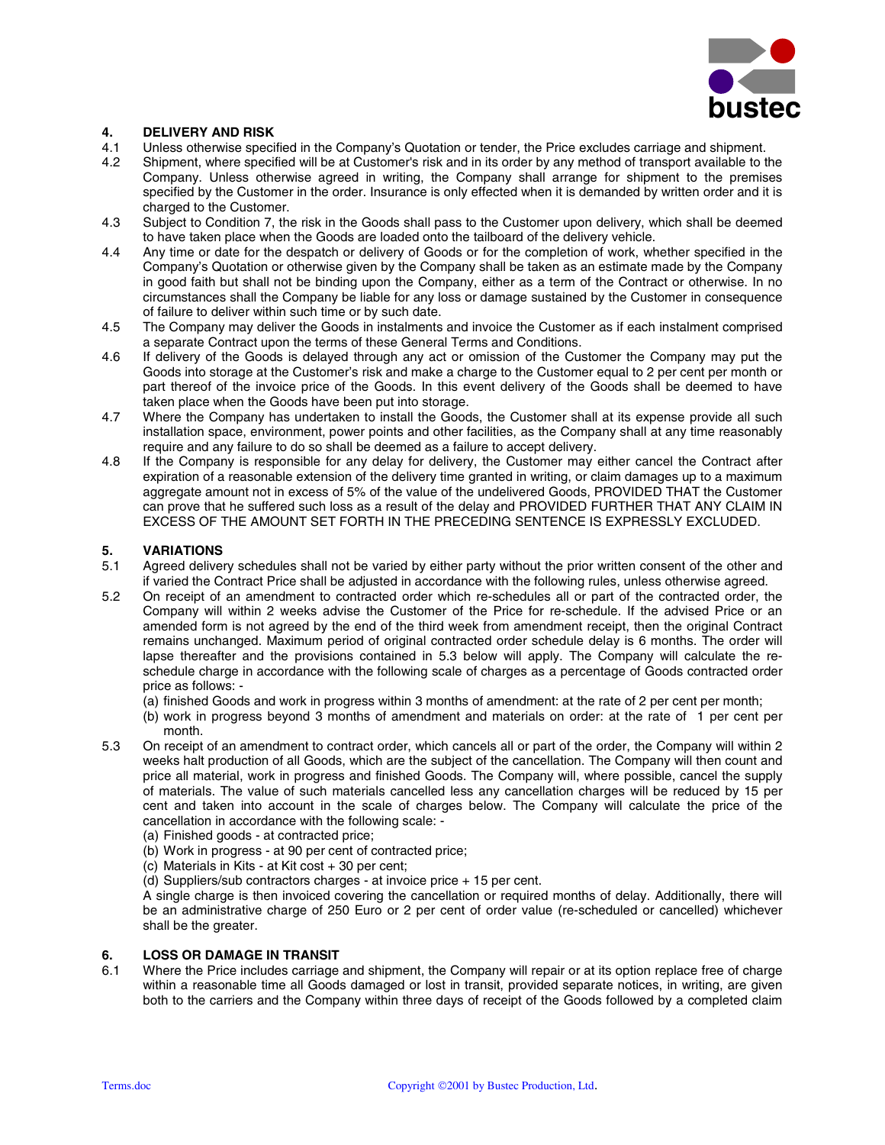

# **4. DELIVERY AND RISK**

- 4.1 Unless otherwise specified in the Company's Quotation or tender, the Price excludes carriage and shipment.
- 4.2 Shipment, where specified will be at Customer's risk and in its order by any method of transport available to the Company. Unless otherwise agreed in writing, the Company shall arrange for shipment to the premises specified by the Customer in the order. Insurance is only effected when it is demanded by written order and it is charged to the Customer.
- 4.3 Subject to Condition 7, the risk in the Goods shall pass to the Customer upon delivery, which shall be deemed to have taken place when the Goods are loaded onto the tailboard of the delivery vehicle.
- 4.4 Any time or date for the despatch or delivery of Goods or for the completion of work, whether specified in the Company's Quotation or otherwise given by the Company shall be taken as an estimate made by the Company in good faith but shall not be binding upon the Company, either as a term of the Contract or otherwise. In no circumstances shall the Company be liable for any loss or damage sustained by the Customer in consequence of failure to deliver within such time or by such date.
- 4.5 The Company may deliver the Goods in instalments and invoice the Customer as if each instalment comprised a separate Contract upon the terms of these General Terms and Conditions.
- 4.6 If delivery of the Goods is delayed through any act or omission of the Customer the Company may put the Goods into storage at the Customer's risk and make a charge to the Customer equal to 2 per cent per month or part thereof of the invoice price of the Goods. In this event delivery of the Goods shall be deemed to have taken place when the Goods have been put into storage.
- 4.7 Where the Company has undertaken to install the Goods, the Customer shall at its expense provide all such installation space, environment, power points and other facilities, as the Company shall at any time reasonably require and any failure to do so shall be deemed as a failure to accept delivery.
- 4.8 If the Company is responsible for any delay for delivery, the Customer may either cancel the Contract after expiration of a reasonable extension of the delivery time granted in writing, or claim damages up to a maximum aggregate amount not in excess of 5% of the value of the undelivered Goods, PROVIDED THAT the Customer can prove that he suffered such loss as a result of the delay and PROVIDED FURTHER THAT ANY CLAIM IN EXCESS OF THE AMOUNT SET FORTH IN THE PRECEDING SENTENCE IS EXPRESSLY EXCLUDED.

# **5. VARIATIONS**

- 5.1 Agreed delivery schedules shall not be varied by either party without the prior written consent of the other and if varied the Contract Price shall be adjusted in accordance with the following rules, unless otherwise agreed.
- 5.2 On receipt of an amendment to contracted order which re-schedules all or part of the contracted order, the Company will within 2 weeks advise the Customer of the Price for re-schedule. If the advised Price or an amended form is not agreed by the end of the third week from amendment receipt, then the original Contract remains unchanged. Maximum period of original contracted order schedule delay is 6 months. The order will lapse thereafter and the provisions contained in 5.3 below will apply. The Company will calculate the reschedule charge in accordance with the following scale of charges as a percentage of Goods contracted order price as follows: -

(a) finished Goods and work in progress within 3 months of amendment: at the rate of 2 per cent per month;

- (b) work in progress beyond 3 months of amendment and materials on order: at the rate of 1 per cent per month.
- 5.3 On receipt of an amendment to contract order, which cancels all or part of the order, the Company will within 2 weeks halt production of all Goods, which are the subject of the cancellation. The Company will then count and price all material, work in progress and finished Goods. The Company will, where possible, cancel the supply of materials. The value of such materials cancelled less any cancellation charges will be reduced by 15 per cent and taken into account in the scale of charges below. The Company will calculate the price of the cancellation in accordance with the following scale: -
	- (a) Finished goods at contracted price;
	- (b) Work in progress at 90 per cent of contracted price;
	- (c) Materials in Kits at Kit cost + 30 per cent;
	- (d) Suppliers/sub contractors charges at invoice price + 15 per cent.

A single charge is then invoiced covering the cancellation or required months of delay. Additionally, there will be an administrative charge of 250 Euro or 2 per cent of order value (re-scheduled or cancelled) whichever shall be the greater.

# **6. LOSS OR DAMAGE IN TRANSIT**

6.1 Where the Price includes carriage and shipment, the Company will repair or at its option replace free of charge within a reasonable time all Goods damaged or lost in transit, provided separate notices, in writing, are given both to the carriers and the Company within three days of receipt of the Goods followed by a completed claim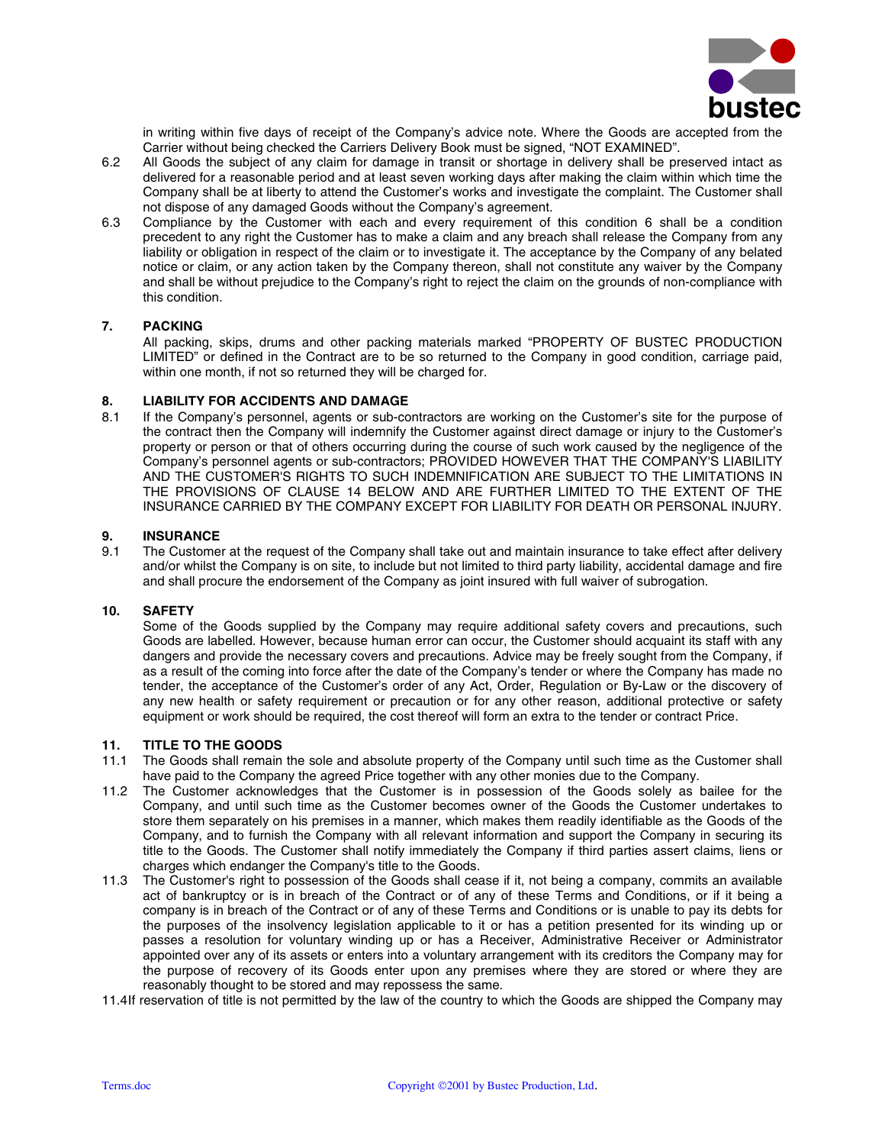

in writing within five days of receipt of the Company's advice note. Where the Goods are accepted from the Carrier without being checked the Carriers Delivery Book must be signed, "NOT EXAMINED".

- 6.2 All Goods the subject of any claim for damage in transit or shortage in delivery shall be preserved intact as delivered for a reasonable period and at least seven working days after making the claim within which time the Company shall be at liberty to attend the Customer's works and investigate the complaint. The Customer shall not dispose of any damaged Goods without the Company's agreement.
- 6.3 Compliance by the Customer with each and every requirement of this condition 6 shall be a condition precedent to any right the Customer has to make a claim and any breach shall release the Company from any liability or obligation in respect of the claim or to investigate it. The acceptance by the Company of any belated notice or claim, or any action taken by the Company thereon, shall not constitute any waiver by the Company and shall be without prejudice to the Company's right to reject the claim on the grounds of non-compliance with this condition.

# **7. PACKING**

All packing, skips, drums and other packing materials marked "PROPERTY OF BUSTEC PRODUCTION LIMITED" or defined in the Contract are to be so returned to the Company in good condition, carriage paid, within one month, if not so returned they will be charged for.

# **8. LIABILITY FOR ACCIDENTS AND DAMAGE**

8.1 If the Company's personnel, agents or sub-contractors are working on the Customer's site for the purpose of the contract then the Company will indemnify the Customer against direct damage or injury to the Customer's property or person or that of others occurring during the course of such work caused by the negligence of the Company's personnel agents or sub-contractors; PROVIDED HOWEVER THAT THE COMPANY'S LIABILITY AND THE CUSTOMER'S RIGHTS TO SUCH INDEMNIFICATION ARE SUBJECT TO THE LIMITATIONS IN THE PROVISIONS OF CLAUSE 14 BELOW AND ARE FURTHER LIMITED TO THE EXTENT OF THE INSURANCE CARRIED BY THE COMPANY EXCEPT FOR LIABILITY FOR DEATH OR PERSONAL INJURY.

# **9. INSURANCE**

9.1 The Customer at the request of the Company shall take out and maintain insurance to take effect after delivery and/or whilst the Company is on site, to include but not limited to third party liability, accidental damage and fire and shall procure the endorsement of the Company as joint insured with full waiver of subrogation.

# **10. SAFETY**

Some of the Goods supplied by the Company may require additional safety covers and precautions, such Goods are labelled. However, because human error can occur, the Customer should acquaint its staff with any dangers and provide the necessary covers and precautions. Advice may be freely sought from the Company, if as a result of the coming into force after the date of the Company's tender or where the Company has made no tender, the acceptance of the Customer's order of any Act, Order, Regulation or By-Law or the discovery of any new health or safety requirement or precaution or for any other reason, additional protective or safety equipment or work should be required, the cost thereof will form an extra to the tender or contract Price.

#### **11. TITLE TO THE GOODS**

- 11.1 The Goods shall remain the sole and absolute property of the Company until such time as the Customer shall have paid to the Company the agreed Price together with any other monies due to the Company.
- 11.2 The Customer acknowledges that the Customer is in possession of the Goods solely as bailee for the Company, and until such time as the Customer becomes owner of the Goods the Customer undertakes to store them separately on his premises in a manner, which makes them readily identifiable as the Goods of the Company, and to furnish the Company with all relevant information and support the Company in securing its title to the Goods. The Customer shall notify immediately the Company if third parties assert claims, liens or charges which endanger the Company's title to the Goods.
- 11.3 The Customer's right to possession of the Goods shall cease if it, not being a company, commits an available act of bankruptcy or is in breach of the Contract or of any of these Terms and Conditions, or if it being a company is in breach of the Contract or of any of these Terms and Conditions or is unable to pay its debts for the purposes of the insolvency legislation applicable to it or has a petition presented for its winding up or passes a resolution for voluntary winding up or has a Receiver, Administrative Receiver or Administrator appointed over any of its assets or enters into a voluntary arrangement with its creditors the Company may for the purpose of recovery of its Goods enter upon any premises where they are stored or where they are reasonably thought to be stored and may repossess the same.
- 11.4 If reservation of title is not permitted by the law of the country to which the Goods are shipped the Company may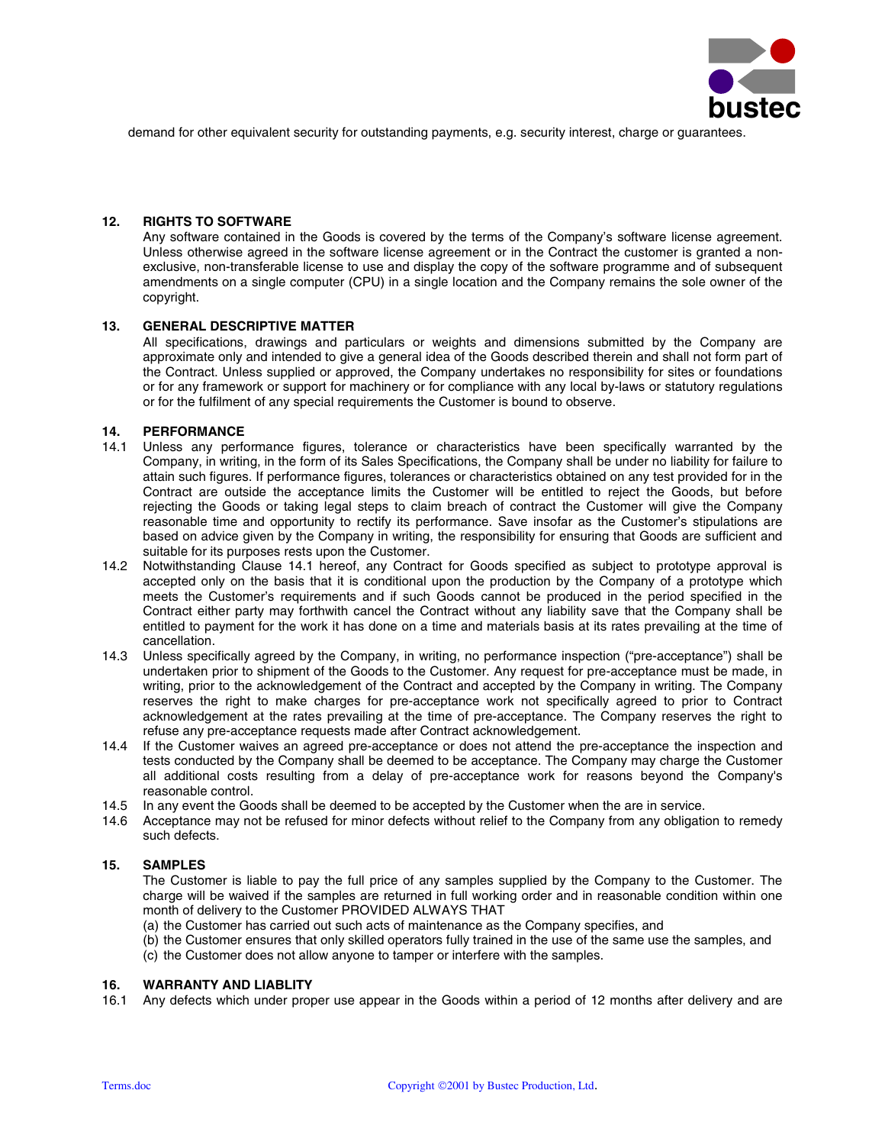

demand for other equivalent security for outstanding payments, e.g. security interest, charge or guarantees.

# **12. RIGHTS TO SOFTWARE**

Any software contained in the Goods is covered by the terms of the Company's software license agreement. Unless otherwise agreed in the software license agreement or in the Contract the customer is granted a nonexclusive, non-transferable license to use and display the copy of the software programme and of subsequent amendments on a single computer (CPU) in a single location and the Company remains the sole owner of the copyright.

# **13. GENERAL DESCRIPTIVE MATTER**

All specifications, drawings and particulars or weights and dimensions submitted by the Company are approximate only and intended to give a general idea of the Goods described therein and shall not form part of the Contract. Unless supplied or approved, the Company undertakes no responsibility for sites or foundations or for any framework or support for machinery or for compliance with any local by-laws or statutory regulations or for the fulfilment of any special requirements the Customer is bound to observe.

#### **14. PERFORMANCE**

- 14.1 Unless any performance figures, tolerance or characteristics have been specifically warranted by the Company, in writing, in the form of its Sales Specifications, the Company shall be under no liability for failure to attain such figures. If performance figures, tolerances or characteristics obtained on any test provided for in the Contract are outside the acceptance limits the Customer will be entitled to reject the Goods, but before rejecting the Goods or taking legal steps to claim breach of contract the Customer will give the Company reasonable time and opportunity to rectify its performance. Save insofar as the Customer's stipulations are based on advice given by the Company in writing, the responsibility for ensuring that Goods are sufficient and suitable for its purposes rests upon the Customer.
- 14.2 Notwithstanding Clause 14.1 hereof, any Contract for Goods specified as subject to prototype approval is accepted only on the basis that it is conditional upon the production by the Company of a prototype which meets the Customer's requirements and if such Goods cannot be produced in the period specified in the Contract either party may forthwith cancel the Contract without any liability save that the Company shall be entitled to payment for the work it has done on a time and materials basis at its rates prevailing at the time of cancellation.
- 14.3 Unless specifically agreed by the Company, in writing, no performance inspection ("pre-acceptance") shall be undertaken prior to shipment of the Goods to the Customer. Any request for pre-acceptance must be made, in writing, prior to the acknowledgement of the Contract and accepted by the Company in writing. The Company reserves the right to make charges for pre-acceptance work not specifically agreed to prior to Contract acknowledgement at the rates prevailing at the time of pre-acceptance. The Company reserves the right to refuse any pre-acceptance requests made after Contract acknowledgement.
- 14.4 If the Customer waives an agreed pre-acceptance or does not attend the pre-acceptance the inspection and tests conducted by the Company shall be deemed to be acceptance. The Company may charge the Customer all additional costs resulting from a delay of pre-acceptance work for reasons beyond the Company's reasonable control.
- 14.5 In any event the Goods shall be deemed to be accepted by the Customer when the are in service.
- 14.6 Acceptance may not be refused for minor defects without relief to the Company from any obligation to remedy such defects.

#### **15. SAMPLES**

The Customer is liable to pay the full price of any samples supplied by the Company to the Customer. The charge will be waived if the samples are returned in full working order and in reasonable condition within one month of delivery to the Customer PROVIDED ALWAYS THAT

(a) the Customer has carried out such acts of maintenance as the Company specifies, and

(b) the Customer ensures that only skilled operators fully trained in the use of the same use the samples, and (c) the Customer does not allow anyone to tamper or interfere with the samples.

#### **16. WARRANTY AND LIABLITY**

16.1 Any defects which under proper use appear in the Goods within a period of 12 months after delivery and are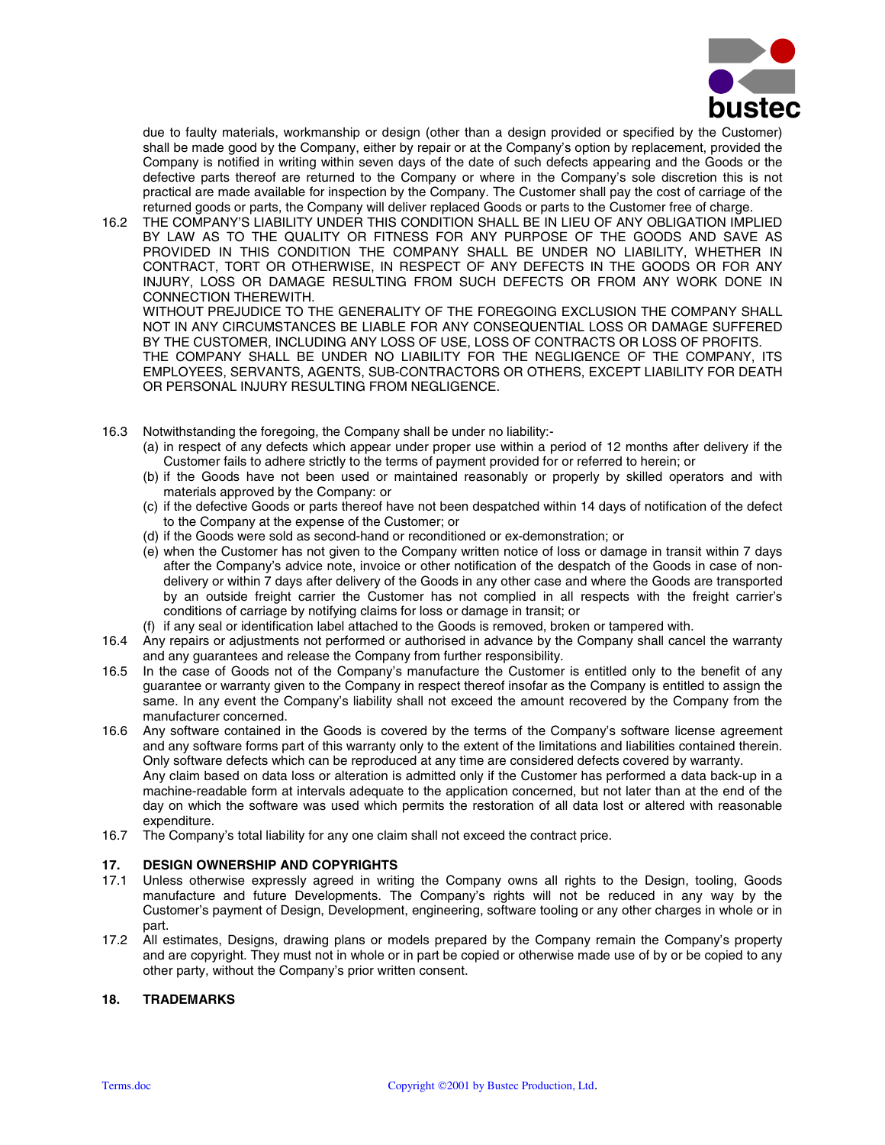

due to faulty materials, workmanship or design (other than a design provided or specified by the Customer) shall be made good by the Company, either by repair or at the Company's option by replacement, provided the Company is notified in writing within seven days of the date of such defects appearing and the Goods or the defective parts thereof are returned to the Company or where in the Company's sole discretion this is not practical are made available for inspection by the Company. The Customer shall pay the cost of carriage of the returned goods or parts, the Company will deliver replaced Goods or parts to the Customer free of charge.

16.2 THE COMPANY'S LIABILITY UNDER THIS CONDITION SHALL BE IN LIEU OF ANY OBLIGATION IMPLIED BY LAW AS TO THE QUALITY OR FITNESS FOR ANY PURPOSE OF THE GOODS AND SAVE AS PROVIDED IN THIS CONDITION THE COMPANY SHALL BE UNDER NO LIABILITY, WHETHER IN CONTRACT, TORT OR OTHERWISE, IN RESPECT OF ANY DEFECTS IN THE GOODS OR FOR ANY INJURY, LOSS OR DAMAGE RESULTING FROM SUCH DEFECTS OR FROM ANY WORK DONE IN CONNECTION THEREWITH.

WITHOUT PREJUDICE TO THE GENERALITY OF THE FOREGOING EXCLUSION THE COMPANY SHALL NOT IN ANY CIRCUMSTANCES BE LIABLE FOR ANY CONSEQUENTIAL LOSS OR DAMAGE SUFFERED BY THE CUSTOMER, INCLUDING ANY LOSS OF USE, LOSS OF CONTRACTS OR LOSS OF PROFITS. THE COMPANY SHALL BE UNDER NO LIABILITY FOR THE NEGLIGENCE OF THE COMPANY, ITS EMPLOYEES, SERVANTS, AGENTS, SUB-CONTRACTORS OR OTHERS, EXCEPT LIABILITY FOR DEATH OR PERSONAL INJURY RESULTING FROM NEGLIGENCE.

- 16.3 Notwithstanding the foregoing, the Company shall be under no liability:-
	- (a) in respect of any defects which appear under proper use within a period of 12 months after delivery if the Customer fails to adhere strictly to the terms of payment provided for or referred to herein; or
	- (b) if the Goods have not been used or maintained reasonably or properly by skilled operators and with materials approved by the Company: or
	- (c) if the defective Goods or parts thereof have not been despatched within 14 days of notification of the defect to the Company at the expense of the Customer; or
	- (d) if the Goods were sold as second-hand or reconditioned or ex-demonstration; or
	- (e) when the Customer has not given to the Company written notice of loss or damage in transit within 7 days after the Company's advice note, invoice or other notification of the despatch of the Goods in case of nondelivery or within 7 days after delivery of the Goods in any other case and where the Goods are transported by an outside freight carrier the Customer has not complied in all respects with the freight carrier's conditions of carriage by notifying claims for loss or damage in transit; or
	- (f) if any seal or identification label attached to the Goods is removed, broken or tampered with.
- 16.4 Any repairs or adjustments not performed or authorised in advance by the Company shall cancel the warranty and any guarantees and release the Company from further responsibility.
- 16.5 In the case of Goods not of the Company's manufacture the Customer is entitled only to the benefit of any guarantee or warranty given to the Company in respect thereof insofar as the Company is entitled to assign the same. In any event the Company's liability shall not exceed the amount recovered by the Company from the manufacturer concerned.

16.6 Any software contained in the Goods is covered by the terms of the Company's software license agreement and any software forms part of this warranty only to the extent of the limitations and liabilities contained therein. Only software defects which can be reproduced at any time are considered defects covered by warranty. Any claim based on data loss or alteration is admitted only if the Customer has performed a data back-up in a machine-readable form at intervals adequate to the application concerned, but not later than at the end of the

- day on which the software was used which permits the restoration of all data lost or altered with reasonable expenditure.
- 16.7 The Company's total liability for any one claim shall not exceed the contract price.

# **17. DESIGN OWNERSHIP AND COPYRIGHTS**

- 17.1 Unless otherwise expressly agreed in writing the Company owns all rights to the Design, tooling, Goods manufacture and future Developments. The Company's rights will not be reduced in any way by the Customer's payment of Design, Development, engineering, software tooling or any other charges in whole or in part.
- 17.2 All estimates, Designs, drawing plans or models prepared by the Company remain the Company's property and are copyright. They must not in whole or in part be copied or otherwise made use of by or be copied to any other party, without the Company's prior written consent.

# **18. TRADEMARKS**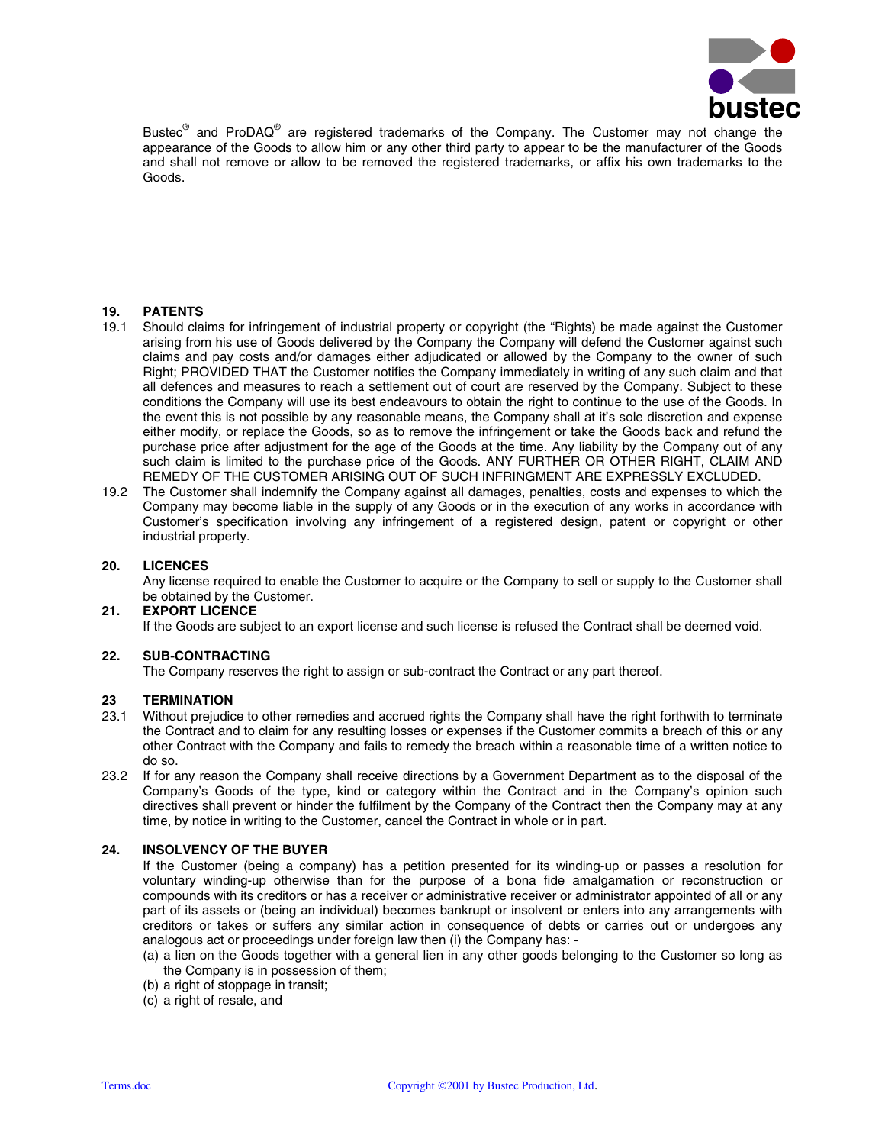

Bustec<sup>®</sup> and ProDAQ<sup>®</sup> are registered trademarks of the Company. The Customer may not change the appearance of the Goods to allow him or any other third party to appear to be the manufacturer of the Goods and shall not remove or allow to be removed the registered trademarks, or affix his own trademarks to the Goods.

# **19. PATENTS**

- 19.1 Should claims for infringement of industrial property or copyright (the "Rights) be made against the Customer arising from his use of Goods delivered by the Company the Company will defend the Customer against such claims and pay costs and/or damages either adjudicated or allowed by the Company to the owner of such Right; PROVIDED THAT the Customer notifies the Company immediately in writing of any such claim and that all defences and measures to reach a settlement out of court are reserved by the Company. Subject to these conditions the Company will use its best endeavours to obtain the right to continue to the use of the Goods. In the event this is not possible by any reasonable means, the Company shall at it's sole discretion and expense either modify, or replace the Goods, so as to remove the infringement or take the Goods back and refund the purchase price after adjustment for the age of the Goods at the time. Any liability by the Company out of any such claim is limited to the purchase price of the Goods. ANY FURTHER OR OTHER RIGHT, CLAIM AND REMEDY OF THE CUSTOMER ARISING OUT OF SUCH INFRINGMENT ARE EXPRESSLY EXCLUDED.
- 19.2 The Customer shall indemnify the Company against all damages, penalties, costs and expenses to which the Company may become liable in the supply of any Goods or in the execution of any works in accordance with Customer's specification involving any infringement of a registered design, patent or copyright or other industrial property.

#### **20. LICENCES**

Any license required to enable the Customer to acquire or the Company to sell or supply to the Customer shall be obtained by the Customer.

# **21. EXPORT LICENCE**

If the Goods are subject to an export license and such license is refused the Contract shall be deemed void.

#### **22. SUB-CONTRACTING**

The Company reserves the right to assign or sub-contract the Contract or any part thereof.

# 23 **TERMINATION**<br>23.1 Without prejudic

- 23.1 Without prejudice to other remedies and accrued rights the Company shall have the right forthwith to terminate the Contract and to claim for any resulting losses or expenses if the Customer commits a breach of this or any other Contract with the Company and fails to remedy the breach within a reasonable time of a written notice to do so.
- 23.2 If for any reason the Company shall receive directions by a Government Department as to the disposal of the Company's Goods of the type, kind or category within the Contract and in the Company's opinion such directives shall prevent or hinder the fulfilment by the Company of the Contract then the Company may at any time, by notice in writing to the Customer, cancel the Contract in whole or in part.

# **24. INSOLVENCY OF THE BUYER**

If the Customer (being a company) has a petition presented for its winding-up or passes a resolution for voluntary winding-up otherwise than for the purpose of a bona fide amalgamation or reconstruction or compounds with its creditors or has a receiver or administrative receiver or administrator appointed of all or any part of its assets or (being an individual) becomes bankrupt or insolvent or enters into any arrangements with creditors or takes or suffers any similar action in consequence of debts or carries out or undergoes any analogous act or proceedings under foreign law then (i) the Company has: -

- (a) a lien on the Goods together with a general lien in any other goods belonging to the Customer so long as the Company is in possession of them;
- (b) a right of stoppage in transit;
- (c) a right of resale, and